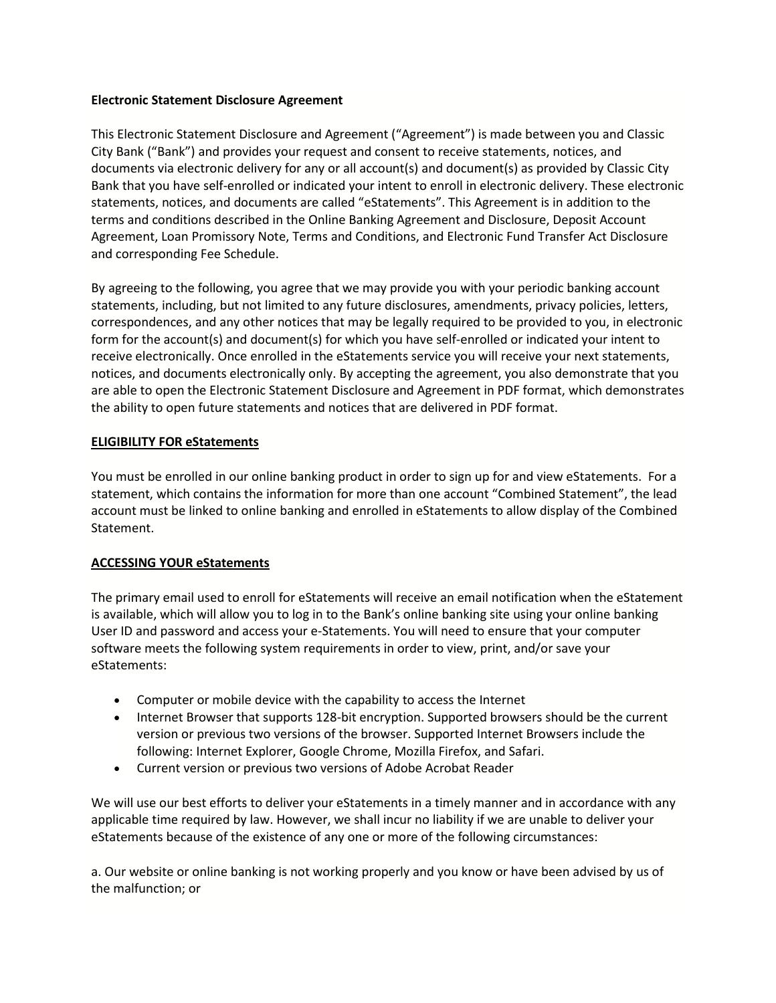## **Electronic Statement Disclosure Agreement**

This Electronic Statement Disclosure and Agreement ("Agreement") is made between you and Classic City Bank ("Bank") and provides your request and consent to receive statements, notices, and documents via electronic delivery for any or all account(s) and document(s) as provided by Classic City Bank that you have self-enrolled or indicated your intent to enroll in electronic delivery. These electronic statements, notices, and documents are called "eStatements". This Agreement is in addition to the terms and conditions described in the Online Banking Agreement and Disclosure, Deposit Account Agreement, Loan Promissory Note, Terms and Conditions, and Electronic Fund Transfer Act Disclosure and corresponding Fee Schedule.

By agreeing to the following, you agree that we may provide you with your periodic banking account statements, including, but not limited to any future disclosures, amendments, privacy policies, letters, correspondences, and any other notices that may be legally required to be provided to you, in electronic form for the account(s) and document(s) for which you have self-enrolled or indicated your intent to receive electronically. Once enrolled in the eStatements service you will receive your next statements, notices, and documents electronically only. By accepting the agreement, you also demonstrate that you are able to open the Electronic Statement Disclosure and Agreement in PDF format, which demonstrates the ability to open future statements and notices that are delivered in PDF format.

# **ELIGIBILITY FOR eStatements**

You must be enrolled in our online banking product in order to sign up for and view eStatements. For a statement, which contains the information for more than one account "Combined Statement", the lead account must be linked to online banking and enrolled in eStatements to allow display of the Combined Statement.

## **ACCESSING YOUR eStatements**

The primary email used to enroll for eStatements will receive an email notification when the eStatement is available, which will allow you to log in to the Bank's online banking site using your online banking User ID and password and access your e-Statements. You will need to ensure that your computer software meets the following system requirements in order to view, print, and/or save your eStatements:

- Computer or mobile device with the capability to access the Internet
- Internet Browser that supports 128-bit encryption. Supported browsers should be the current version or previous two versions of the browser. Supported Internet Browsers include the following: Internet Explorer, Google Chrome, Mozilla Firefox, and Safari.
- Current version or previous two versions of Adobe Acrobat Reader

We will use our best efforts to deliver your eStatements in a timely manner and in accordance with any applicable time required by law. However, we shall incur no liability if we are unable to deliver your eStatements because of the existence of any one or more of the following circumstances:

a. Our website or online banking is not working properly and you know or have been advised by us of the malfunction; or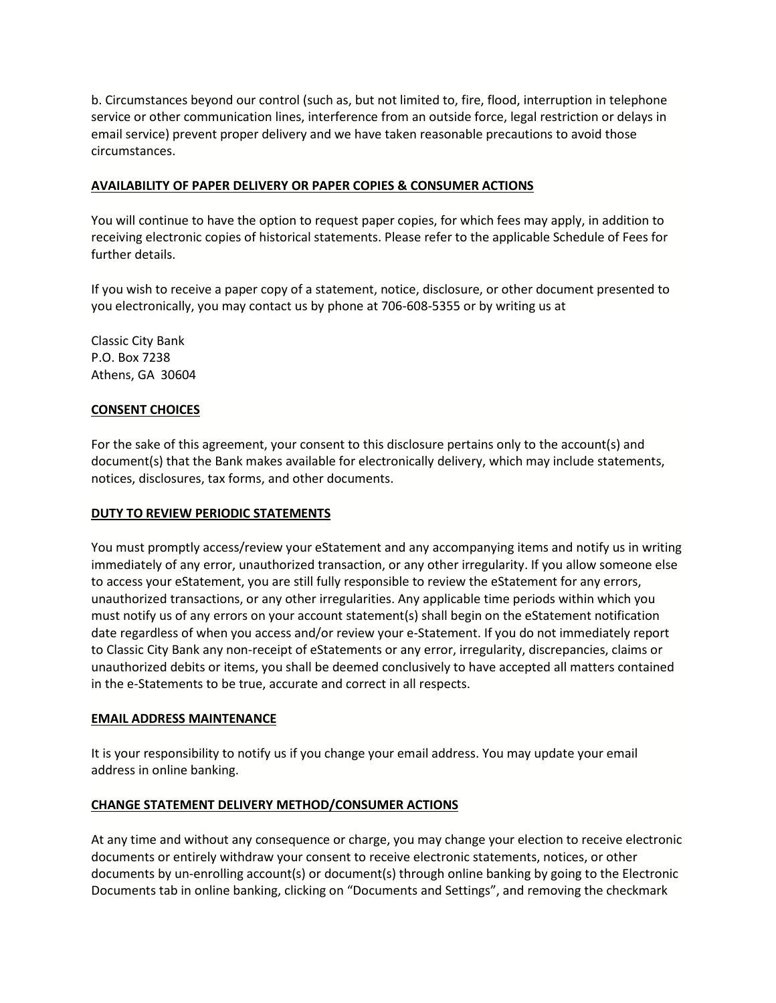b. Circumstances beyond our control (such as, but not limited to, fire, flood, interruption in telephone service or other communication lines, interference from an outside force, legal restriction or delays in email service) prevent proper delivery and we have taken reasonable precautions to avoid those circumstances.

## **AVAILABILITY OF PAPER DELIVERY OR PAPER COPIES & CONSUMER ACTIONS**

You will continue to have the option to request paper copies, for which fees may apply, in addition to receiving electronic copies of historical statements. Please refer to the applicable Schedule of Fees for further details.

If you wish to receive a paper copy of a statement, notice, disclosure, or other document presented to you electronically, you may contact us by phone at 706-608-5355 or by writing us at

Classic City Bank P.O. Box 7238 Athens, GA 30604

## **CONSENT CHOICES**

For the sake of this agreement, your consent to this disclosure pertains only to the account(s) and document(s) that the Bank makes available for electronically delivery, which may include statements, notices, disclosures, tax forms, and other documents.

#### **DUTY TO REVIEW PERIODIC STATEMENTS**

You must promptly access/review your eStatement and any accompanying items and notify us in writing immediately of any error, unauthorized transaction, or any other irregularity. If you allow someone else to access your eStatement, you are still fully responsible to review the eStatement for any errors, unauthorized transactions, or any other irregularities. Any applicable time periods within which you must notify us of any errors on your account statement(s) shall begin on the eStatement notification date regardless of when you access and/or review your e-Statement. If you do not immediately report to Classic City Bank any non-receipt of eStatements or any error, irregularity, discrepancies, claims or unauthorized debits or items, you shall be deemed conclusively to have accepted all matters contained in the e-Statements to be true, accurate and correct in all respects.

#### **EMAIL ADDRESS MAINTENANCE**

It is your responsibility to notify us if you change your email address. You may update your email address in online banking.

## **CHANGE STATEMENT DELIVERY METHOD/CONSUMER ACTIONS**

At any time and without any consequence or charge, you may change your election to receive electronic documents or entirely withdraw your consent to receive electronic statements, notices, or other documents by un-enrolling account(s) or document(s) through online banking by going to the Electronic Documents tab in online banking, clicking on "Documents and Settings", and removing the checkmark